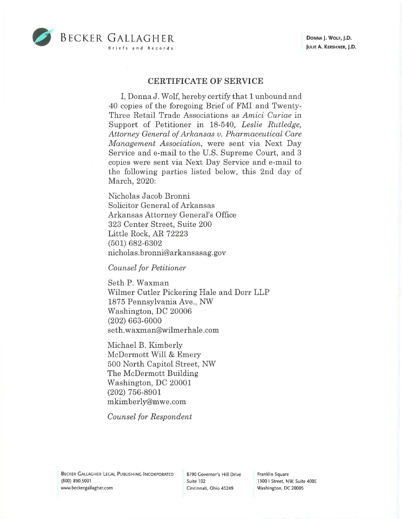

## **CERTIFICATE OF SERVICE**

I, Donna J. Wolf, hereby certify that 1 unbound and 40 copies of the foregoing Brief of FMI and Twenty-Three Retail Trade Associations as *Amici Curiae* in Support of Petitioner in 18-540, *Leslie Rutledge, Attorney General of Arkansas v. Pharmaceutical Care Management Association,* were sent via Next Day Service and e-mail to the U.S. Supreme Court, and 3 copies were sent via Next Day Service and e-mail to the following parties listed below, this 2nd day of March, 2020:

Nicholas Jacob Bronni Solicitor General of Arkansas Arkansas Attorney General's Office 323 Center Street, Suite 200 Little Rock, AR 72223 (501) 682-6302 nicholas. bronni@ar kansasag. gov

*Counsel for Petitioner* 

Seth P. Waxman Wilmer Cutler Pickering Hale and Dorr LLP 1875 Pennsylvania Ave., NW Washington, DC 20006 (202) 663-6000 seth.waxman@wilmerhale.com

Michael B. Kimberly McDermott Will & Emery 500 North Capitol Street, NW The McDermott Building Washington, DC 20001 (202) 756-8901 mkimberly@mwe.com

*Counsel for Respondent* 

Franklin Square 1300 I Street, NW, Suite 400E Washington, DC 20005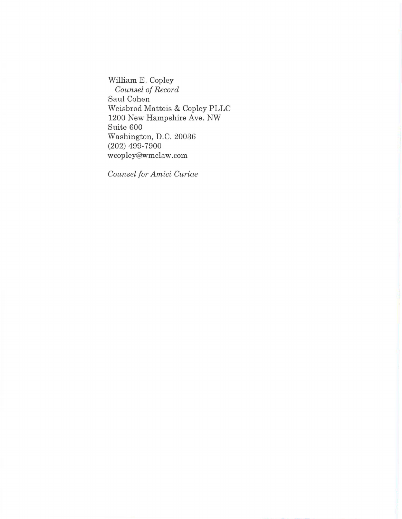William E. Copley *Counsel of Record*  Saul Cohen Weisbrod Matteis & Copley PLLC 1200 New Hampshire Ave. NW Suite 600 Washington, D.C. 20036 (202) 499-7900 wcopley@wmclaw.com

*Counsel for Amici Curiae*